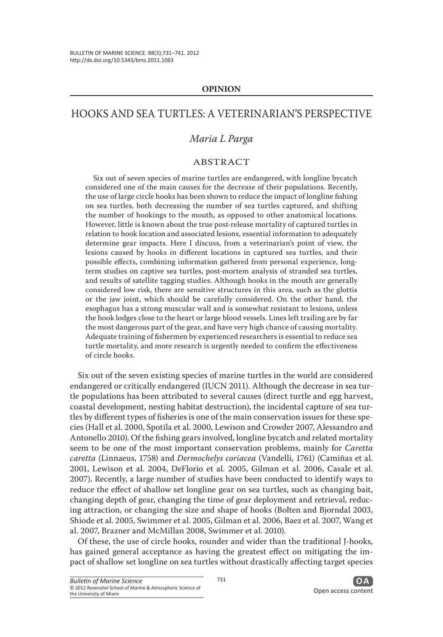# Hooks and sea turtles: a veterinarian'S perspective

## *Maria L Parga*

## **ABSTRACT**

Six out of seven species of marine turtles are endangered, with longline bycatch considered one of the main causes for the decrease of their populations. Recently, the use of large circle hooks has been shown to reduce the impact of longline fishing on sea turtles, both decreasing the number of sea turtles captured, and shifting the number of hookings to the mouth, as opposed to other anatomical locations. However, little is known about the true post-release mortality of captured turtles in relation to hook location and associated lesions, essential information to adequately determine gear impacts. Here I discuss, from a veterinarian's point of view, the lesions caused by hooks in different locations in captured sea turtles, and their possible effects, combining information gathered from personal experience, longterm studies on captive sea turtles, post-mortem analysis of stranded sea turtles, and results of satellite tagging studies. Although hooks in the mouth are generally considered low risk, there are sensitive structures in this area, such as the glottis or the jaw joint, which should be carefully considered. On the other hand, the esophagus has a strong muscular wall and is somewhat resistant to lesions, unless the hook lodges close to the heart or large blood vessels. Lines left trailing are by far the most dangerous part of the gear, and have very high chance of causing mortality. Adequate training of fishermen by experienced researchers is essential to reduce sea turtle mortality, and more research is urgently needed to confirm the effectiveness of circle hooks.

Six out of the seven existing species of marine turtles in the world are considered endangered or critically endangered (IUCN 2011). Although the decrease in sea turtle populations has been attributed to several causes (direct turtle and egg harvest, coastal development, nesting habitat destruction), the incidental capture of sea turtles by different types of fisheries is one of the main conservation issues for these species (Hall et al. 2000, Spotila et al. 2000, Lewison and Crowder 2007, Alessandro and Antonello 2010). Of the fishing gears involved, longline bycatch and related mortality seem to be one of the most important conservation problems, mainly for *Caretta caretta* (Linnaeus, 1758) and *Dermochelys coriacea* (Vandelli, 1761) (Camiñas et al. 2001, Lewison et al. 2004, DeFlorio et al. 2005, Gilman et al. 2006, Casale et al. 2007). Recently, a large number of studies have been conducted to identify ways to reduce the effect of shallow set longline gear on sea turtles, such as changing bait, changing depth of gear, changing the time of gear deployment and retrieval, reducing attraction, or changing the size and shape of hooks (Bolten and Bjorndal 2003, Shiode et al. 2005, Swimmer et al. 2005, Gilman et al. 2006, Baez et al. 2007, Wang et al. 2007, Brazner and McMillan 2008, Swimmer et al. 2010).

Of these, the use of circle hooks, rounder and wider than the traditional J-hooks, has gained general acceptance as having the greatest effect on mitigating the impact of shallow set longline on sea turtles without drastically affecting target species

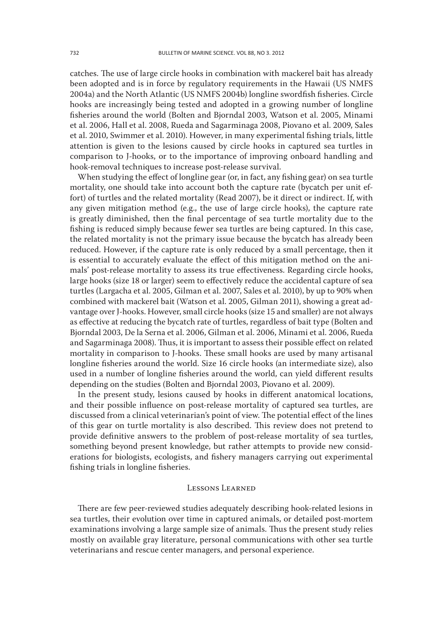catches. The use of large circle hooks in combination with mackerel bait has already been adopted and is in force by regulatory requirements in the Hawaii (US NMFS 2004a) and the North Atlantic (US NMFS 2004b) longline swordfish fisheries. Circle hooks are increasingly being tested and adopted in a growing number of longline fisheries around the world (Bolten and Bjorndal 2003, Watson et al. 2005, Minami et al. 2006, Hall et al. 2008, Rueda and Sagarminaga 2008, Piovano et al. 2009, Sales et al. 2010, Swimmer et al. 2010). However, in many experimental fishing trials, little attention is given to the lesions caused by circle hooks in captured sea turtles in comparison to J-hooks, or to the importance of improving onboard handling and hook-removal techniques to increase post-release survival.

When studying the effect of longline gear (or, in fact, any fishing gear) on sea turtle mortality, one should take into account both the capture rate (bycatch per unit effort) of turtles and the related mortality (Read 2007), be it direct or indirect. If, with any given mitigation method (e.g., the use of large circle hooks), the capture rate is greatly diminished, then the final percentage of sea turtle mortality due to the fishing is reduced simply because fewer sea turtles are being captured. In this case, the related mortality is not the primary issue because the bycatch has already been reduced. However, if the capture rate is only reduced by a small percentage, then it is essential to accurately evaluate the effect of this mitigation method on the animals' post-release mortality to assess its true effectiveness. Regarding circle hooks, large hooks (size 18 or larger) seem to effectively reduce the accidental capture of sea turtles (Largacha et al. 2005, Gilman et al. 2007, Sales et al. 2010), by up to 90% when combined with mackerel bait (Watson et al. 2005, Gilman 2011), showing a great advantage over J-hooks. However, small circle hooks (size 15 and smaller) are not always as effective at reducing the bycatch rate of turtles, regardless of bait type (Bolten and Bjorndal 2003, De la Serna et al. 2006, Gilman et al. 2006, Minami et al. 2006, Rueda and Sagarminaga 2008). Thus, it is important to assess their possible effect on related mortality in comparison to J-hooks. These small hooks are used by many artisanal longline fisheries around the world. Size 16 circle hooks (an intermediate size), also used in a number of longline fisheries around the world, can yield different results depending on the studies (Bolten and Bjorndal 2003, Piovano et al. 2009).

In the present study, lesions caused by hooks in different anatomical locations, and their possible influence on post-release mortality of captured sea turtles, are discussed from a clinical veterinarian's point of view. The potential effect of the lines of this gear on turtle mortality is also described. This review does not pretend to provide definitive answers to the problem of post-release mortality of sea turtles, something beyond present knowledge, but rather attempts to provide new considerations for biologists, ecologists, and fishery managers carrying out experimental fishing trials in longline fisheries.

## Lessons Learned

There are few peer-reviewed studies adequately describing hook-related lesions in sea turtles, their evolution over time in captured animals, or detailed post-mortem examinations involving a large sample size of animals. Thus the present study relies mostly on available gray literature, personal communications with other sea turtle veterinarians and rescue center managers, and personal experience.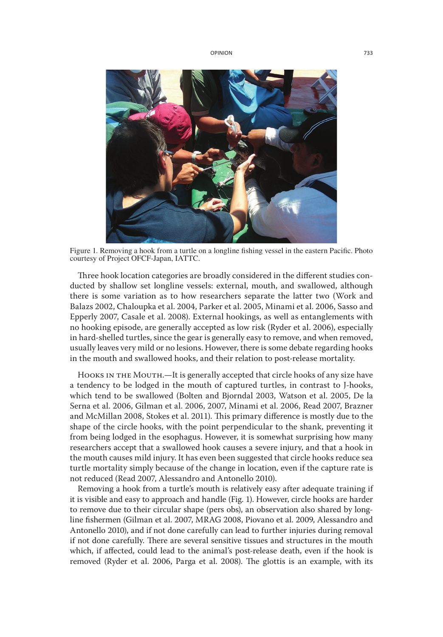

Figure 1. Removing a hook from a turtle on a longline fishing vessel in the eastern Pacific. Photo courtesy of Project OFCF-Japan, IATTC.

Three hook location categories are broadly considered in the different studies conducted by shallow set longline vessels: external, mouth, and swallowed, although there is some variation as to how researchers separate the latter two (Work and Balazs 2002, Chaloupka et al. 2004, Parker et al. 2005, Minami et al. 2006, Sasso and Epperly 2007, Casale et al. 2008). External hookings, as well as entanglements with no hooking episode, are generally accepted as low risk (Ryder et al. 2006), especially in hard-shelled turtles, since the gear is generally easy to remove, and when removed, usually leaves very mild or no lesions. However, there is some debate regarding hooks in the mouth and swallowed hooks, and their relation to post-release mortality.

Hooks in the Mouth.—It is generally accepted that circle hooks of any size have a tendency to be lodged in the mouth of captured turtles, in contrast to J-hooks, which tend to be swallowed (Bolten and Bjorndal 2003, Watson et al. 2005, De la Serna et al. 2006, Gilman et al. 2006, 2007, Minami et al. 2006, Read 2007, Brazner and McMillan 2008, Stokes et al. 2011). This primary difference is mostly due to the shape of the circle hooks, with the point perpendicular to the shank, preventing it from being lodged in the esophagus. However, it is somewhat surprising how many researchers accept that a swallowed hook causes a severe injury, and that a hook in the mouth causes mild injury. It has even been suggested that circle hooks reduce sea turtle mortality simply because of the change in location, even if the capture rate is not reduced (Read 2007, Alessandro and Antonello 2010).

Removing a hook from a turtle's mouth is relatively easy after adequate training if it is visible and easy to approach and handle (Fig. 1). However, circle hooks are harder to remove due to their circular shape (pers obs), an observation also shared by longline fishermen (Gilman et al. 2007, MRAG 2008, Piovano et al. 2009, Alessandro and Antonello 2010), and if not done carefully can lead to further injuries during removal if not done carefully. There are several sensitive tissues and structures in the mouth which, if affected, could lead to the animal's post-release death, even if the hook is removed (Ryder et al. 2006, Parga et al. 2008). The glottis is an example, with its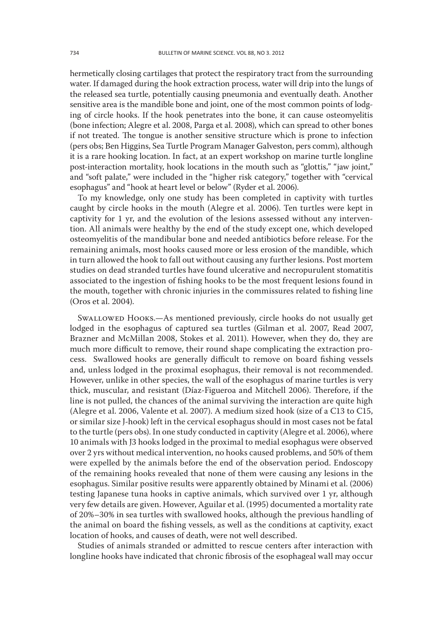hermetically closing cartilages that protect the respiratory tract from the surrounding water. If damaged during the hook extraction process, water will drip into the lungs of the released sea turtle, potentially causing pneumonia and eventually death. Another sensitive area is the mandible bone and joint, one of the most common points of lodging of circle hooks. If the hook penetrates into the bone, it can cause osteomyelitis (bone infection; Alegre et al. 2008, Parga et al. 2008), which can spread to other bones if not treated. The tongue is another sensitive structure which is prone to infection (pers obs; Ben Higgins, Sea Turtle Program Manager Galveston, pers comm), although it is a rare hooking location. In fact, at an expert workshop on marine turtle longline post-interaction mortality, hook locations in the mouth such as "glottis," "jaw joint," and "soft palate," were included in the "higher risk category," together with "cervical esophagus" and "hook at heart level or below" (Ryder et al. 2006).

To my knowledge, only one study has been completed in captivity with turtles caught by circle hooks in the mouth (Alegre et al. 2006). Ten turtles were kept in captivity for 1 yr, and the evolution of the lesions assessed without any intervention. All animals were healthy by the end of the study except one, which developed osteomyelitis of the mandibular bone and needed antibiotics before release. For the remaining animals, most hooks caused more or less erosion of the mandible, which in turn allowed the hook to fall out without causing any further lesions. Post mortem studies on dead stranded turtles have found ulcerative and necropurulent stomatitis associated to the ingestion of fishing hooks to be the most frequent lesions found in the mouth, together with chronic injuries in the commissures related to fishing line (Oros et al. 2004).

Swallowed Hooks.—As mentioned previously, circle hooks do not usually get lodged in the esophagus of captured sea turtles (Gilman et al. 2007, Read 2007, Brazner and McMillan 2008, Stokes et al. 2011). However, when they do, they are much more difficult to remove, their round shape complicating the extraction process. Swallowed hooks are generally difficult to remove on board fishing vessels and, unless lodged in the proximal esophagus, their removal is not recommended. However, unlike in other species, the wall of the esophagus of marine turtles is very thick, muscular, and resistant (Díaz-Figueroa and Mitchell 2006). Therefore, if the line is not pulled, the chances of the animal surviving the interaction are quite high (Alegre et al. 2006, Valente et al. 2007). A medium sized hook (size of a C13 to C15, or similar size J-hook) left in the cervical esophagus should in most cases not be fatal to the turtle (pers obs). In one study conducted in captivity (Alegre et al. 2006), where 10 animals with J3 hooks lodged in the proximal to medial esophagus were observed over 2 yrs without medical intervention, no hooks caused problems, and 50% of them were expelled by the animals before the end of the observation period. Endoscopy of the remaining hooks revealed that none of them were causing any lesions in the esophagus. Similar positive results were apparently obtained by Minami et al. (2006) testing Japanese tuna hooks in captive animals, which survived over 1 yr, although very few details are given. However, Aguilar et al. (1995) documented a mortality rate of 20%–30% in sea turtles with swallowed hooks, although the previous handling of the animal on board the fishing vessels, as well as the conditions at captivity, exact location of hooks, and causes of death, were not well described.

Studies of animals stranded or admitted to rescue centers after interaction with longline hooks have indicated that chronic fibrosis of the esophageal wall may occur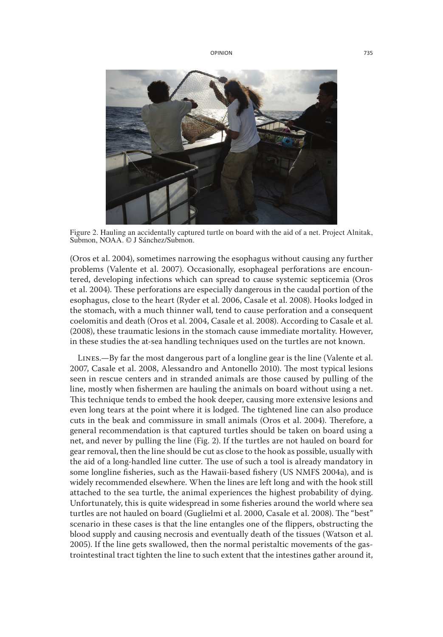

Figure 2. Hauling an accidentally captured turtle on board with the aid of a net. Project Alnitak, Submon, NOAA. © J Sánchez/Submon.

(Oros et al. 2004), sometimes narrowing the esophagus without causing any further problems (Valente et al. 2007). Occasionally, esophageal perforations are encountered, developing infections which can spread to cause systemic septicemia (Oros et al. 2004). These perforations are especially dangerous in the caudal portion of the esophagus, close to the heart (Ryder et al. 2006, Casale et al. 2008). Hooks lodged in the stomach, with a much thinner wall, tend to cause perforation and a consequent coelomitis and death (Oros et al. 2004, Casale et al. 2008). According to Casale et al. (2008), these traumatic lesions in the stomach cause immediate mortality. However, in these studies the at-sea handling techniques used on the turtles are not known.

Lines.—By far the most dangerous part of a longline gear is the line (Valente et al. 2007, Casale et al. 2008, Alessandro and Antonello 2010). The most typical lesions seen in rescue centers and in stranded animals are those caused by pulling of the line, mostly when fishermen are hauling the animals on board without using a net. This technique tends to embed the hook deeper, causing more extensive lesions and even long tears at the point where it is lodged. The tightened line can also produce cuts in the beak and commissure in small animals (Oros et al. 2004). Therefore, a general recommendation is that captured turtles should be taken on board using a net, and never by pulling the line (Fig. 2). If the turtles are not hauled on board for gear removal, then the line should be cut as close to the hook as possible, usually with the aid of a long-handled line cutter. The use of such a tool is already mandatory in some longline fisheries, such as the Hawaii-based fishery (US NMFS 2004a), and is widely recommended elsewhere. When the lines are left long and with the hook still attached to the sea turtle, the animal experiences the highest probability of dying. Unfortunately, this is quite widespread in some fisheries around the world where sea turtles are not hauled on board (Guglielmi et al. 2000, Casale et al. 2008). The "best" scenario in these cases is that the line entangles one of the flippers, obstructing the blood supply and causing necrosis and eventually death of the tissues (Watson et al. 2005). If the line gets swallowed, then the normal peristaltic movements of the gastrointestinal tract tighten the line to such extent that the intestines gather around it,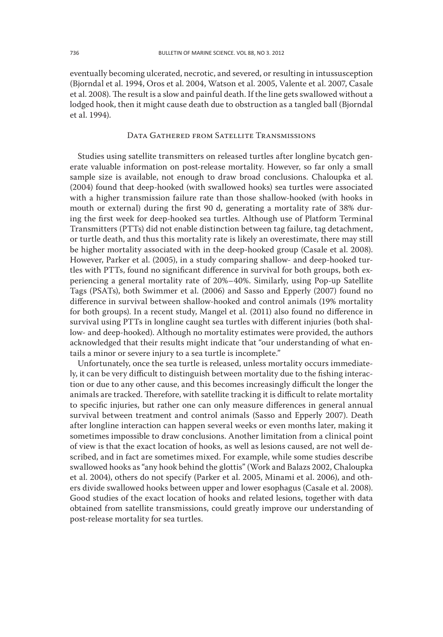eventually becoming ulcerated, necrotic, and severed, or resulting in intussusception (Bjorndal et al. 1994, Oros et al. 2004, Watson et al. 2005, Valente et al. 2007, Casale et al. 2008). The result is a slow and painful death. If the line gets swallowed without a lodged hook, then it might cause death due to obstruction as a tangled ball (Bjorndal et al. 1994).

## Data Gathered from Satellite Transmissions

Studies using satellite transmitters on released turtles after longline bycatch generate valuable information on post-release mortality. However, so far only a small sample size is available, not enough to draw broad conclusions. Chaloupka et al. (2004) found that deep-hooked (with swallowed hooks) sea turtles were associated with a higher transmission failure rate than those shallow-hooked (with hooks in mouth or external) during the first 90 d, generating a mortality rate of 38% during the first week for deep-hooked sea turtles. Although use of Platform Terminal Transmitters (PTTs) did not enable distinction between tag failure, tag detachment, or turtle death, and thus this mortality rate is likely an overestimate, there may still be higher mortality associated with in the deep-hooked group (Casale et al. 2008). However, Parker et al. (2005), in a study comparing shallow- and deep-hooked turtles with PTTs, found no significant difference in survival for both groups, both experiencing a general mortality rate of 20%–40%. Similarly, using Pop-up Satellite Tags (PSATs), both Swimmer et al. (2006) and Sasso and Epperly (2007) found no difference in survival between shallow-hooked and control animals (19% mortality for both groups). In a recent study, Mangel et al. (2011) also found no difference in survival using PTTs in longline caught sea turtles with different injuries (both shallow- and deep-hooked). Although no mortality estimates were provided, the authors acknowledged that their results might indicate that "our understanding of what entails a minor or severe injury to a sea turtle is incomplete."

Unfortunately, once the sea turtle is released, unless mortality occurs immediately, it can be very difficult to distinguish between mortality due to the fishing interaction or due to any other cause, and this becomes increasingly difficult the longer the animals are tracked. Therefore, with satellite tracking it is difficult to relate mortality to specific injuries, but rather one can only measure differences in general annual survival between treatment and control animals (Sasso and Epperly 2007). Death after longline interaction can happen several weeks or even months later, making it sometimes impossible to draw conclusions. Another limitation from a clinical point of view is that the exact location of hooks, as well as lesions caused, are not well described, and in fact are sometimes mixed. For example, while some studies describe swallowed hooks as "any hook behind the glottis" (Work and Balazs 2002, Chaloupka et al. 2004), others do not specify (Parker et al. 2005, Minami et al. 2006), and others divide swallowed hooks between upper and lower esophagus (Casale et al. 2008). Good studies of the exact location of hooks and related lesions, together with data obtained from satellite transmissions, could greatly improve our understanding of post-release mortality for sea turtles.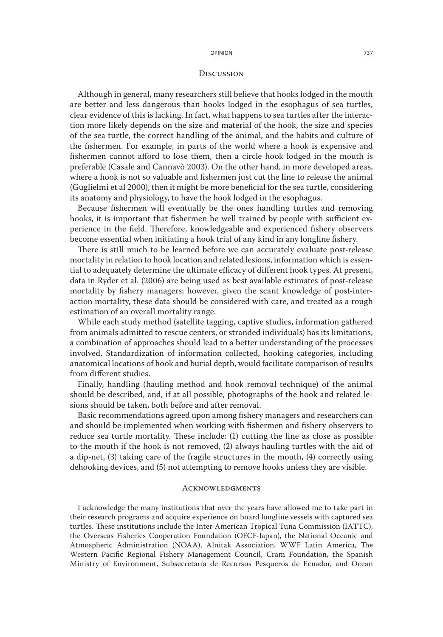#### **DISCUSSION**

Although in general, many researchers still believe that hooks lodged in the mouth are better and less dangerous than hooks lodged in the esophagus of sea turtles, clear evidence of this is lacking. In fact, what happens to sea turtles after the interaction more likely depends on the size and material of the hook, the size and species of the sea turtle, the correct handling of the animal, and the habits and culture of the fishermen. For example, in parts of the world where a hook is expensive and fishermen cannot afford to lose them, then a circle hook lodged in the mouth is preferable (Casale and Cannavò 2003). On the other hand, in more developed areas, where a hook is not so valuable and fishermen just cut the line to release the animal (Guglielmi et al 2000), then it might be more beneficial for the sea turtle, considering its anatomy and physiology, to have the hook lodged in the esophagus.

Because fishermen will eventually be the ones handling turtles and removing hooks, it is important that fishermen be well trained by people with sufficient experience in the field. Therefore, knowledgeable and experienced fishery observers become essential when initiating a hook trial of any kind in any longline fishery.

There is still much to be learned before we can accurately evaluate post-release mortality in relation to hook location and related lesions, information which is essential to adequately determine the ultimate efficacy of different hook types. At present, data in Ryder et al. (2006) are being used as best available estimates of post-release mortality by fishery managers; however, given the scant knowledge of post-interaction mortality, these data should be considered with care, and treated as a rough estimation of an overall mortality range.

While each study method (satellite tagging, captive studies, information gathered from animals admitted to rescue centers, or stranded individuals) has its limitations, a combination of approaches should lead to a better understanding of the processes involved. Standardization of information collected, hooking categories, including anatomical locations of hook and burial depth, would facilitate comparison of results from different studies.

Finally, handling (hauling method and hook removal technique) of the animal should be described, and, if at all possible, photographs of the hook and related lesions should be taken, both before and after removal.

Basic recommendations agreed upon among fishery managers and researchers can and should be implemented when working with fishermen and fishery observers to reduce sea turtle mortality. These include: (1) cutting the line as close as possible to the mouth if the hook is not removed, (2) always hauling turtles with the aid of a dip-net, (3) taking care of the fragile structures in the mouth, (4) correctly using dehooking devices, and (5) not attempting to remove hooks unless they are visible.

## **ACKNOWLEDGMENTS**

I acknowledge the many institutions that over the years have allowed me to take part in their research programs and acquire experience on board longline vessels with captured sea turtles. These institutions include the Inter-American Tropical Tuna Commission (IATTC), the Overseas Fisheries Cooperation Foundation (OFCF-Japan), the National Oceanic and Atmospheric Administration (NOAA), Alnitak Association, WWF Latin America, The Western Pacific Regional Fishery Management Council, Cram Foundation, the Spanish Ministry of Environment, Subsecretaría de Recursos Pesqueros de Ecuador, and Ocean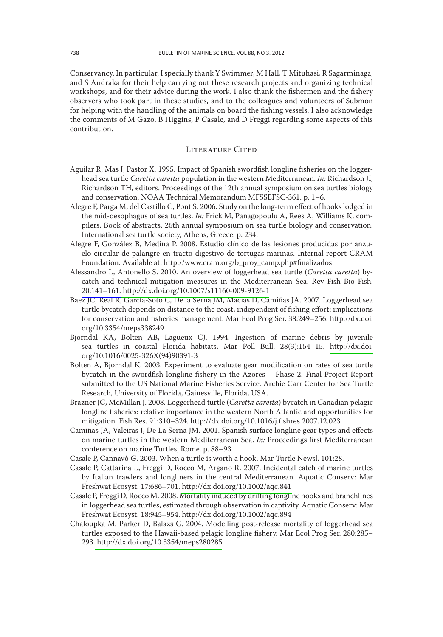Conservancy. In particular, I specially thank Y Swimmer, M Hall, T Mituhasi, R Sagarminaga, and S Andraka for their help carrying out these research projects and organizing technical workshops, and for their advice during the work. I also thank the fishermen and the fishery observers who took part in these studies, and to the colleagues and volunteers of Submon for helping with the handling of the animals on board the fishing vessels. I also acknowledge the comments of M Gazo, B Higgins, P Casale, and D Freggi regarding some aspects of this contribution.

## LITERATURE CITED

- Aguilar R, Mas J, Pastor X. 1995. Impact of Spanish swordfish longline fisheries on the loggerhead sea turtle *Caretta caretta* population in the western Mediterranean. *In:* Richardson JI, Richardson TH, editors. Proceedings of the 12th annual symposium on sea turtles biology and conservation. NOAA Technical Memorandum MFSSEFSC-361. p. 1–6.
- Alegre F, Parga M, del Castillo C, Pont S. 2006. Study on the long-term effect of hooks lodged in the mid-oesophagus of sea turtles. *In:* Frick M, Panagopoulu A, Rees A, Williams K, compilers. Book of abstracts. 26th annual symposium on sea turtle biology and conservation. International sea turtle society, Athens, Greece. p. 234.
- Alegre F, González B, Medina P. 2008. Estudio clínico de las lesiones producidas por anzuelo circular de palangre en tracto digestivo de tortugas marinas. Internal report CRAM Foundation. Available at: [http://www.cram.org/b\\_proy\\_camp.php#finalizados](http://www.cram.org/b_proy_camp.php#finalizados)
- Alessandro L, Antonello S. 2010. An overview of loggerhead sea turtle (*Caretta caretta*) bycatch and technical mitigation measures in the Mediterranean Sea. [Rev Fish Bio Fish.](http://www.ingentaconnect.com/content/external-references?article=0960-3166()20L.141[aid=9996786]) [20:141–161.](http://www.ingentaconnect.com/content/external-references?article=0960-3166()20L.141[aid=9996786])<http://dx.doi.org/10.1007/s11160-009-9126-1>
- Baez JC, Real R, García-Soto C, De la Serna JM, Macías D, Camiñas JA. 2007. Loggerhead sea turtle bycatch depends on distance to the coast, independent of fishing effort: implications for conservation and fisheries management. Mar Ecol Prog Ser. 38:249–256. [http://dx.doi.](http://dx.doi) org/10.3354/meps338249
- Bjorndal KA, Bolten AB, Lagueux CJ. 1994. Ingestion of marine debris by juvenile sea turtles in coastal Florida habitats. Mar Poll Bull. 28(3):154–15. [http://dx.doi.](http://dx.doi) org/10.1016/0025-326X(94)90391-3
- Bolten A, Bjorndal K. 2003. Experiment to evaluate gear modification on rates of sea turtle bycatch in the swordfish longline fishery in the Azores – Phase 2. Final Project Report submitted to the US National Marine Fisheries Service. Archie Carr Center for Sea Turtle Research, University of Florida, Gainesville, Florida, USA.
- Brazner JC, McMillan J. 2008. Loggerhead turtle (*Caretta caretta*) bycatch in Canadian pelagic longline fisheries: relative importance in the western North Atlantic and opportunities for mitigation. Fish Res. 91:310–324[. http://dx.doi.org/10.1016/j.fishres.2007.12.023](http://dx.doi.org/10.1016/j.fishres.2007.12.023)
- Camiñas JA, Valeiras J, De La Serna JM. 2001. Spanish surface longline gear types and effects on marine turtles in the western Mediterranean Sea. *In:* Proceedings first Mediterranean conference on marine Turtles, Rome. p. 88–93.
- Casale P, Cannavò G. 2003. When a turtle is worth a hook. Mar Turtle Newsl. 101:28.
- Casale P, Cattarina L, Freggi D, Rocco M, Argano R. 2007. Incidental catch of marine turtles by Italian trawlers and longliners in the central Mediterranean. Aquatic Conserv: Mar Freshwat Ecosyst. 17:686–701.<http://dx.doi.org/10.1002/aqc.841>
- Casale P, Freggi D, Rocco M. 2008. Mortality induced by drifting longline hooks and branchlines in loggerhead sea turtles, estimated through observation in captivity. Aquatic Conserv: Mar Freshwat Ecosyst. 18:945–954.<http://dx.doi.org/10.1002/aqc.894>
- Chaloupka M, Parker D, Balazs G. 2004. Modelling post-release mortality of loggerhead sea turtles exposed to the Hawaii-based pelagic longline fishery. Mar Ecol Prog Ser. 280:285– 293[. http://dx.doi.org/10.3354/meps280285](http://dx.doi.org/10.3354/meps280285)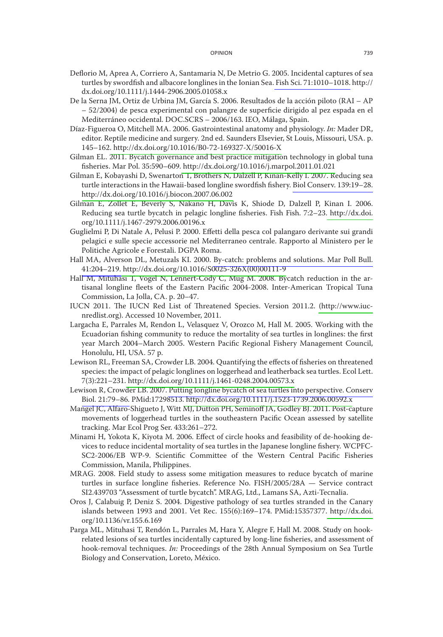- Deflorio M, Aprea A, Corriero A, Santamaria N, De Metrio G. 2005. Incidental captures of sea turtles by swordfish and albacore longlines in the Ionian Sea. [Fish Sci. 71:1010–1018.](http://www.ingentaconnect.com/content/external-references?article=0919-9268()71L.1010[aid=9199870]) http:// dx.doi.org/10.1111/j.1444-2906.2005.01058.x
- De la Serna JM, Ortiz de Urbina JM, García S. 2006. Resultados de la acción piloto (RAI AP – 52/2004) de pesca experimental con palangre de superficie dirigido al pez espada en el Mediterráneo occidental. DOC.SCRS – 2006/163. IEO, Málaga, Spain.
- Díaz-Figueroa O, Mitchell MA. 2006. Gastrointestinal anatomy and physiology. *In:* Mader DR, editor. Reptile medicine and surgery. 2nd ed. Saunders Elsevier, St Louis, Missouri, USA. p. 145–162[. http://dx.doi.org/10.1016/B0-72-169327-X/50016-X](http://dx.doi.org/10.1016/b0-72-169327-X/50016-X)
- Gilman EL. 2011. Bycatch governance and best practice mitigation technology in global tuna fisheries. Mar Pol. 35:590–609.<http://dx.doi.org/10.1016/j.marpol.2011.01.021>
- Gilman E, Kobayashi D, Swenarton T, Brothers N, Dalzell P, Kinan-Kelly I. 2007. Reducing sea turtle interactions in the Hawaii-based longline swordfish fishery. [Biol Conserv. 139:19–28.](http://www.ingentaconnect.com/content/external-references?article=0006-3207()139L.19[aid=8794204]) <http://dx.doi.org/10.1016/j.biocon.2007.06.002>
- Gilman E, Zollet E, Beverly S, Nakano H, Davis K, Shiode D, Dalzell P, Kinan I. 2006. Reducing sea turtle bycatch in pelagic longline fisheries. Fish Fish. 7:2–23[. http://dx.doi.](http://dx.doi) org/10.1111/j.1467-2979.2006.00196.x
- Guglielmi P, Di Natale A, Pelusi P. 2000. Effetti della pesca col palangaro derivante sui grandi pelagici e sulle specie accessorie nel Mediterraneo centrale. Rapporto al Ministero per le Politiche Agricole e Forestali. DGPA Roma.
- Hall MA, Alverson DL, Metuzals KI. 2000. [By-catch: problems and solutions. Mar Poll Bull.](http://www.ingentaconnect.com/content/external-references?article=0025-326x()41L.204[aid=9996708])  [41:204–219.](http://www.ingentaconnect.com/content/external-references?article=0025-326x()41L.204[aid=9996708]) [http://dx.doi.org/10.1016/S0025-326X\(00\)00111-9](http://dx.doi.org/10.1016/s0025-326X(00)00111-9)
- Hall M, Mituhasi T, Vogel N, Lennert-Cody C, Mug M. 2008. Bycatch reduction in the artisanal longline fleets of the Eastern Pacific 2004-2008. Inter-American Tropical Tuna Commission, La Jolla, CA. p. 20–47.
- IUCN 2011. The IUCN Red List of Threatened Species. Version 2011.2. [\(http://www.iuc](http://www.iuc-)nredlist.org). Accessed 10 November, 2011.
- Largacha E, Parrales M, Rendon L, Velasquez V, Orozco M, Hall M. 2005. Working with the Ecuadorian fishing community to reduce the mortality of sea turtles in longlines: the first year March 2004–March 2005. Western Pacific Regional Fishery Management Council, Honolulu, HI, USA. 57 p.
- Lewison RL, Freeman SA, Crowder LB. 2004. Quantifying the effects of fisheries on threatened species: the impact of pelagic longlines on loggerhead and leatherback sea turtles. Ecol Lett. 7(3):221–231[. http://dx.doi.org/10.1111/j.1461-0248.2004.00573.x](http://dx.doi.org/10.1111/j.1461-0248.2004.00573.x)
- Lewison R, Crowder LB. 2007. [Putting longline bycatch of sea turtles into perspective. Conserv](http://www.ingentaconnect.com/content/external-references?article=0888-8892()21L.79[aid=9996788]) [Biol. 21:79–86.](http://www.ingentaconnect.com/content/external-references?article=0888-8892()21L.79[aid=9996788]) PMid:17298513[. http://dx.doi.org/10.1111/j.1523-1739.2006.00592.x](http://dx.doi.org/10.1111/j.1523-1739.2006.00592.x)
- Mangel JC, Alfaro-Shigueto J, Witt MJ, Dutton PH, Seminoff JA, Godley BJ. 2011. Post-capture movements of loggerhead turtles in the southeastern Pacific Ocean assessed by satellite tracking. Mar Ecol Prog Ser. 433:261–272.
- Minami H, Yokota K, Kiyota M. 2006. Effect of circle hooks and feasibility of de-hooking devices to reduce incidental mortality of sea turtles in the Japanese longline fishery. WCPFC-SC2-2006/EB WP-9. Scientific Committee of the Western Central Pacific Fisheries Commission, Manila, Philippines.
- MRAG. 2008. Field study to assess some mitigation measures to reduce bycatch of marine turtles in surface longline fisheries. Reference No. FISH/2005/28A — Service contract SI2.439703 "Assessment of turtle bycatch". MRAG, Ltd., Lamans SA, Azti-Tecnalia.
- Oros J, Calabuig P, Deniz S. 2004. Digestive pathology of sea turtles stranded in the Canary islands between 1993 and 2001. Vet Rec. 155(6):169–174. PMid:15357377[. http://dx.doi.](http://dx.doi) org/10.1136/vr.155.6.169
- Parga ML, Mituhasi T, Rendón L, Parrales M, Hara Y, Alegre F, Hall M. 2008. Study on hookrelated lesions of sea turtles incidentally captured by long-line fisheries, and assessment of hook-removal techniques. *In:* Proceedings of the 28th Annual Symposium on Sea Turtle Biology and Conservation, Loreto, México.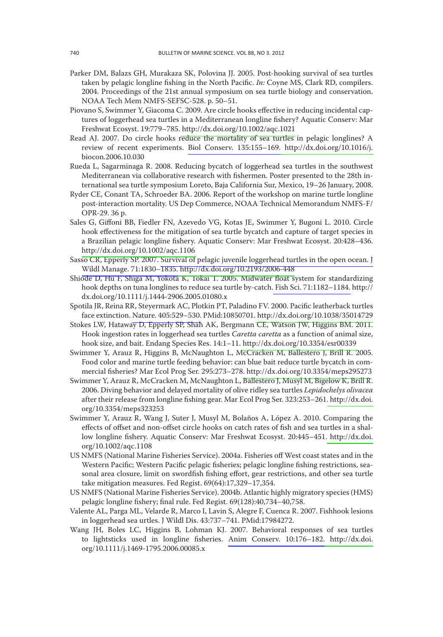- Parker DM, Balazs GH, Murakaza SK, Polovina JJ. 2005. Post-hooking survival of sea turtles taken by pelagic longline fishing in the North Pacific. *In:* Coyne MS, Clark RD, compilers. 2004. Proceedings of the 21st annual symposium on sea turtle biology and conservation. NOAA Tech Mem NMFS-SEFSC-528. p. 50–51.
- Piovano S, Swimmer Y, Giacoma C. 2009. Are circle hooks effective in reducing incidental captures of loggerhead sea turtles in a Mediterranean longline fishery? Aquatic Conserv: Mar Freshwat Ecosyst. 19:779–785.<http://dx.doi.org/10.1002/aqc.1021>
- Read AJ. 2007. Do circle hooks reduce the mortality of sea turtles in pelagic longlines? A review of recent experiments. [Biol Conserv. 135:155–169.](http://www.ingentaconnect.com/content/external-references?article=0006-3207()135L.155[aid=8794216]) [http://dx.doi.org/10.1016/j.](http://dx.doi.org/10.1016/j) biocon.2006.10.030
- Rueda L, Sagarminaga R. 2008. Reducing bycatch of loggerhead sea turtles in the southwest Mediterranean via collaborative research with fishermen. Poster presented to the 28th international sea turtle symposium Loreto, Baja California Sur, Mexico, 19–26 January, 2008.
- Ryder CE, Conant TA, Schroeder BA. 2006. Report of the workshop on marine turtle longline post-interaction mortality. US Dep Commerce, NOAA Technical Memorandum NMFS-F/ OPR-29. 36 p.
- Sales G, Giffoni BB, Fiedler FN, Azevedo VG, Kotas JE, Swimmer Y, Bugoni L. 2010. Circle hook effectiveness for the mitigation of sea turtle bycatch and capture of target species in a Brazilian pelagic longline fishery. Aquatic Conserv: Mar Freshwat Ecosyst. 20:428–436. <http://dx.doi.org/10.1002/aqc.1106>
- Sasso CR, Epperly SP. 2007. [Survival of pelagic juvenile loggerhead turtles in the open ocean. J](http://www.ingentaconnect.com/content/external-references?article=0022-541x()71L.1830[aid=9996796]) [Wildl Manage. 71:1830–1835.](http://www.ingentaconnect.com/content/external-references?article=0022-541x()71L.1830[aid=9996796])<http://dx.doi.org/10.2193/2006-448>
- Shiode D, Hu F, Shiga M, Yokota K, Tokai T. 2005. Midwater float system for standardizing hook depths on tuna longlines to reduce sea turtle by-catch. [Fish Sci. 71:1182–1184.](http://www.ingentaconnect.com/content/external-references?article=0919-9268()71L.1182[aid=8794213]) http:// dx.doi.org/10.1111/j.1444-2906.2005.01080.x
- Spotila JR, Reina RR, Steyermark AC, Plotkin PT, Paladino FV. 2000. Pacific leatherback turtles face extinction. [Nature. 405:529–530.](http://www.ingentaconnect.com/content/external-references?article=0028-0836()405L.529[aid=8794210]) PMid:10850701[. http://dx.doi.org/10.1038/35014729](http://dx.doi.org/10.1038/35014729)
- Stokes LW, Hataway D, Epperly SP, Shah AK, Bergmann CE, Watson JW, Higgins BM. 2011. Hook ingestion rates in loggerhead sea turtles *Caretta caretta* as a function of animal size, hook size, and bait. Endang Species Res. 14:1–11.<http://dx.doi.org/10.3354/esr00339>
- Swimmer Y, Arauz R, Higgins B, McNaughton L, McCracken M, Ballestero J, Brill R. 2005. Food color and marine turtle feeding behavior: can blue bait reduce turtle bycatch in commercial fisheries? Mar Ecol Prog Ser. 295:273–278[. http://dx.doi.org/10.3354/meps295273](http://dx.doi.org/10.3354/meps295273)
- Swimmer Y, Arauz R, McCracken M, McNaughton L, Ballestero J, Musyl M, Bigelow K, Brill R. 2006. Diving behavior and delayed mortality of olive ridley sea turtles *Lepidochelys olivacea* after their release from longline fishing gear. Mar Ecol Prog Ser. 323:253–261[. http://dx.doi.](http://dx.doi) org/10.3354/meps323253
- Swimmer Y, Arauz R, Wang J, Suter J, Musyl M, Bolaños A, López A. 2010. Comparing the effects of offset and non-offset circle hooks on catch rates of fish and sea turtles in a shallow longline fishery. Aquatic Conserv: Mar Freshwat Ecosyst. 20:445–451[. http://dx.doi.](http://dx.doi) org/10.1002/aqc.1108
- US NMFS (National Marine Fisheries Service). 2004a. Fisheries off West coast states and in the Western Pacific; Western Pacific pelagic fisheries; pelagic longline fishing restrictions, seasonal area closure, limit on swordfish fishing effort, gear restrictions, and other sea turtle take mitigation measures. Fed Regist. 69(64):17,329–17,354.
- US NMFS (National Marine Fisheries Service). 2004b. Atlantic highly migratory species (HMS) pelagic longline fishery; final rule. Fed Regist. 69(128):40,734–40,758.
- Valente AL, Parga ML, Velarde R, Marco I, Lavin S, Alegre F, Cuenca R. 2007. Fishhook lesions in loggerhead sea urtles. J Wildl Dis. 43:737–741. PMid:17984272.
- Wang JH, Boles LC, Higgins B, Lohman KJ. 2007. Behavioral responses of sea turtles to lightsticks used in longline fisheries. [Anim Conserv. 10:176–182.](http://www.ingentaconnect.com/content/external-references?article=1367-9430()10L.176[aid=9996790]) [http://dx.doi.](http://dx.doi) org/10.1111/j.1469-1795.2006.00085.x